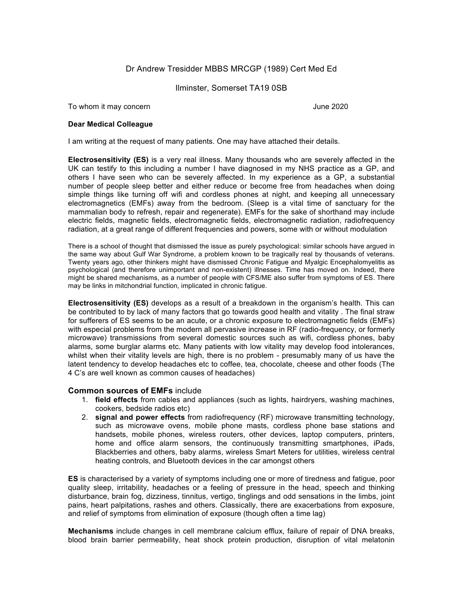## Dr Andrew Tresidder MBBS MRCGP (1989) Cert Med Ed

## Ilminster, Somerset TA19 0SB

To whom it may concern **June 2020** 

## **Dear Medical Colleague**

I am writing at the request of many patients. One may have attached their details.

**Electrosensitivity (ES)** is a very real illness. Many thousands who are severely affected in the UK can testify to this including a number I have diagnosed in my NHS practice as a GP, and others I have seen who can be severely affected. In my experience as a GP, a substantial number of people sleep better and either reduce or become free from headaches when doing simple things like turning off wifi and cordless phones at night, and keeping all unnecessary electromagnetics (EMFs) away from the bedroom. (Sleep is a vital time of sanctuary for the mammalian body to refresh, repair and regenerate). EMFs for the sake of shorthand may include electric fields, magnetic fields, electromagnetic fields, electromagnetic radiation, radiofrequency radiation, at a great range of different frequencies and powers, some with or without modulation

There is a school of thought that dismissed the issue as purely psychological: similar schools have argued in the same way about Gulf War Syndrome, a problem known to be tragically real by thousands of veterans. Twenty years ago, other thinkers might have dismissed Chronic Fatigue and Myalgic Encephalomyelitis as psychological (and therefore unimportant and non-existent) illnesses. Time has moved on. Indeed, there might be shared mechanisms, as a number of people with CFS/ME also suffer from symptoms of ES. There may be links in mitchondrial function, implicated in chronic fatigue.

**Electrosensitivity (ES)** develops as a result of a breakdown in the organism's health. This can be contributed to by lack of many factors that go towards good health and vitality . The final straw for sufferers of ES seems to be an acute, or a chronic exposure to electromagnetic fields (EMFs) with especial problems from the modern all pervasive increase in RF (radio-frequency, or formerly microwave) transmissions from several domestic sources such as wifi, cordless phones, baby alarms, some burglar alarms etc. Many patients with low vitality may develop food intolerances, whilst when their vitality levels are high, there is no problem - presumably many of us have the latent tendency to develop headaches etc to coffee, tea, chocolate, cheese and other foods (The 4 C's are well known as common causes of headaches)

## **Common sources of EMFs** include

- 1. **field effects** from cables and appliances (such as lights, hairdryers, washing machines, cookers, bedside radios etc)
- 2. **signal and power effects** from radiofrequency (RF) microwave transmitting technology, such as microwave ovens, mobile phone masts, cordless phone base stations and handsets, mobile phones, wireless routers, other devices, laptop computers, printers, home and office alarm sensors, the continuously transmitting smartphones, iPads, Blackberries and others, baby alarms, wireless Smart Meters for utilities, wireless central heating controls, and Bluetooth devices in the car amongst others

**ES** is characterised by a variety of symptoms including one or more of tiredness and fatigue, poor quality sleep, irritability, headaches or a feeling of pressure in the head, speech and thinking disturbance, brain fog, dizziness, tinnitus, vertigo, tinglings and odd sensations in the limbs, joint pains, heart palpitations, rashes and others. Classically, there are exacerbations from exposure, and relief of symptoms from elimination of exposure (though often a time lag)

**Mechanisms** include changes in cell membrane calcium efflux, failure of repair of DNA breaks, blood brain barrier permeability, heat shock protein production, disruption of vital melatonin